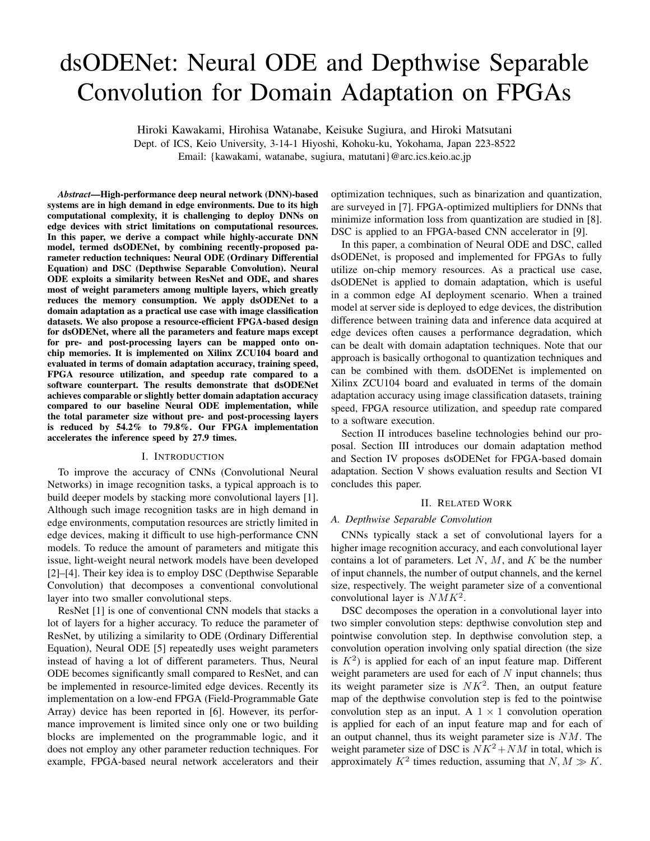# dsODENet: Neural ODE and Depthwise Separable Convolution for Domain Adaptation on FPGAs

Hiroki Kawakami, Hirohisa Watanabe, Keisuke Sugiura, and Hiroki Matsutani

Dept. of ICS, Keio University, 3-14-1 Hiyoshi, Kohoku-ku, Yokohama, Japan 223-8522 Email: {kawakami, watanabe, sugiura, matutani}@arc.ics.keio.ac.jp

*Abstract*—High-performance deep neural network (DNN)-based systems are in high demand in edge environments. Due to its high computational complexity, it is challenging to deploy DNNs on edge devices with strict limitations on computational resources. In this paper, we derive a compact while highly-accurate DNN model, termed dsODENet, by combining recently-proposed parameter reduction techniques: Neural ODE (Ordinary Differential Equation) and DSC (Depthwise Separable Convolution). Neural ODE exploits a similarity between ResNet and ODE, and shares most of weight parameters among multiple layers, which greatly reduces the memory consumption. We apply dsODENet to a domain adaptation as a practical use case with image classification datasets. We also propose a resource-efficient FPGA-based design for dsODENet, where all the parameters and feature maps except for pre- and post-processing layers can be mapped onto onchip memories. It is implemented on Xilinx ZCU104 board and evaluated in terms of domain adaptation accuracy, training speed, FPGA resource utilization, and speedup rate compared to a software counterpart. The results demonstrate that dsODENet achieves comparable or slightly better domain adaptation accuracy compared to our baseline Neural ODE implementation, while the total parameter size without pre- and post-processing layers is reduced by 54.2% to 79.8%. Our FPGA implementation accelerates the inference speed by 27.9 times.

# I. INTRODUCTION

To improve the accuracy of CNNs (Convolutional Neural Networks) in image recognition tasks, a typical approach is to build deeper models by stacking more convolutional layers [1]. Although such image recognition tasks are in high demand in edge environments, computation resources are strictly limited in edge devices, making it difficult to use high-performance CNN models. To reduce the amount of parameters and mitigate this issue, light-weight neural network models have been developed [2]–[4]. Their key idea is to employ DSC (Depthwise Separable Convolution) that decomposes a conventional convolutional layer into two smaller convolutional steps.

ResNet [1] is one of conventional CNN models that stacks a lot of layers for a higher accuracy. To reduce the parameter of ResNet, by utilizing a similarity to ODE (Ordinary Differential Equation), Neural ODE [5] repeatedly uses weight parameters instead of having a lot of different parameters. Thus, Neural ODE becomes significantly small compared to ResNet, and can be implemented in resource-limited edge devices. Recently its implementation on a low-end FPGA (Field-Programmable Gate Array) device has been reported in [6]. However, its performance improvement is limited since only one or two building blocks are implemented on the programmable logic, and it does not employ any other parameter reduction techniques. For example, FPGA-based neural network accelerators and their

optimization techniques, such as binarization and quantization, are surveyed in [7]. FPGA-optimized multipliers for DNNs that minimize information loss from quantization are studied in [8]. DSC is applied to an FPGA-based CNN accelerator in [9].

In this paper, a combination of Neural ODE and DSC, called dsODENet, is proposed and implemented for FPGAs to fully utilize on-chip memory resources. As a practical use case, dsODENet is applied to domain adaptation, which is useful in a common edge AI deployment scenario. When a trained model at server side is deployed to edge devices, the distribution difference between training data and inference data acquired at edge devices often causes a performance degradation, which can be dealt with domain adaptation techniques. Note that our approach is basically orthogonal to quantization techniques and can be combined with them. dsODENet is implemented on Xilinx ZCU104 board and evaluated in terms of the domain adaptation accuracy using image classification datasets, training speed, FPGA resource utilization, and speedup rate compared to a software execution.

Section II introduces baseline technologies behind our proposal. Section III introduces our domain adaptation method and Section IV proposes dsODENet for FPGA-based domain adaptation. Section V shows evaluation results and Section VI concludes this paper.

### II. RELATED WORK

## *A. Depthwise Separable Convolution*

CNNs typically stack a set of convolutional layers for a higher image recognition accuracy, and each convolutional layer contains a lot of parameters. Let *N*, *M*, and *K* be the number of input channels, the number of output channels, and the kernel size, respectively. The weight parameter size of a conventional convolutional layer is *NMK*<sup>2</sup> .

DSC decomposes the operation in a convolutional layer into two simpler convolution steps: depthwise convolution step and pointwise convolution step. In depthwise convolution step, a convolution operation involving only spatial direction (the size is  $K^2$ ) is applied for each of an input feature map. Different weight parameters are used for each of *N* input channels; thus its weight parameter size is *NK*<sup>2</sup> . Then, an output feature map of the depthwise convolution step is fed to the pointwise convolution step as an input. A  $1 \times 1$  convolution operation is applied for each of an input feature map and for each of an output channel, thus its weight parameter size is *NM*. The weight parameter size of DSC is  $N\ddot{K}^2 + NM$  in total, which is approximately  $K^2$  times reduction, assuming that  $N, M \gg K$ .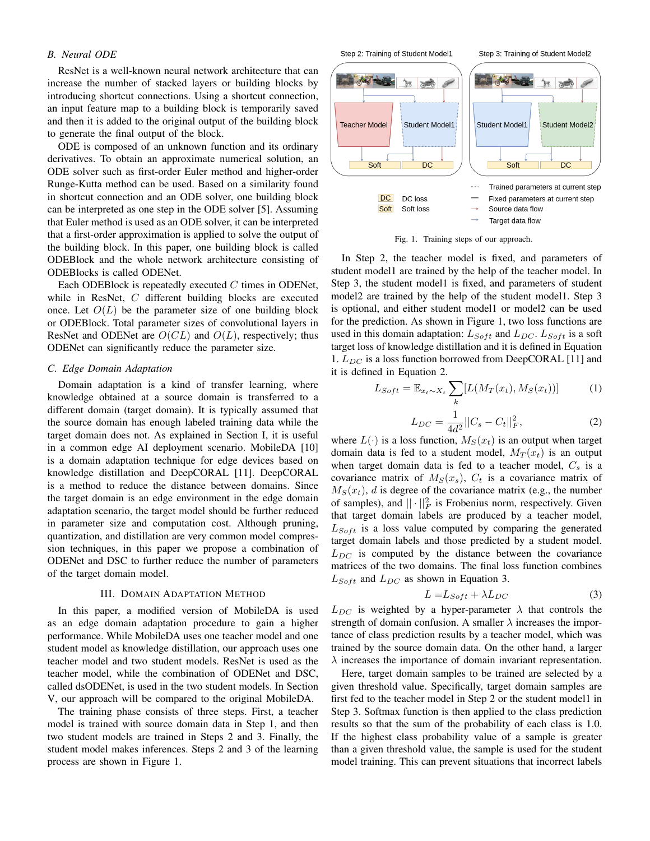## *B. Neural ODE*

ResNet is a well-known neural network architecture that can increase the number of stacked layers or building blocks by introducing shortcut connections. Using a shortcut connection, an input feature map to a building block is temporarily saved and then it is added to the original output of the building block to generate the final output of the block.

ODE is composed of an unknown function and its ordinary derivatives. To obtain an approximate numerical solution, an ODE solver such as first-order Euler method and higher-order Runge-Kutta method can be used. Based on a similarity found in shortcut connection and an ODE solver, one building block can be interpreted as one step in the ODE solver [5]. Assuming that Euler method is used as an ODE solver, it can be interpreted that a first-order approximation is applied to solve the output of the building block. In this paper, one building block is called ODEBlock and the whole network architecture consisting of ODEBlocks is called ODENet.

Each ODEBlock is repeatedly executed *C* times in ODENet, while in ResNet, *C* different building blocks are executed once. Let  $O(L)$  be the parameter size of one building block or ODEBlock. Total parameter sizes of convolutional layers in ResNet and ODENet are *O*(*CL*) and *O*(*L*), respectively; thus ODENet can significantly reduce the parameter size.

# *C. Edge Domain Adaptation*

Domain adaptation is a kind of transfer learning, where knowledge obtained at a source domain is transferred to a different domain (target domain). It is typically assumed that the source domain has enough labeled training data while the target domain does not. As explained in Section I, it is useful in a common edge AI deployment scenario. MobileDA [10] is a domain adaptation technique for edge devices based on knowledge distillation and DeepCORAL [11]. DeepCORAL is a method to reduce the distance between domains. Since the target domain is an edge environment in the edge domain adaptation scenario, the target model should be further reduced in parameter size and computation cost. Although pruning, quantization, and distillation are very common model compression techniques, in this paper we propose a combination of ODENet and DSC to further reduce the number of parameters of the target domain model.

## III. DOMAIN ADAPTATION METHOD

In this paper, a modified version of MobileDA is used as an edge domain adaptation procedure to gain a higher performance. While MobileDA uses one teacher model and one student model as knowledge distillation, our approach uses one teacher model and two student models. ResNet is used as the teacher model, while the combination of ODENet and DSC, called dsODENet, is used in the two student models. In Section V, our approach will be compared to the original MobileDA.

The training phase consists of three steps. First, a teacher model is trained with source domain data in Step 1, and then two student models are trained in Steps 2 and 3. Finally, the student model makes inferences. Steps 2 and 3 of the learning process are shown in Figure 1.

Step 2: Training of Student Model1

 $\sigma$  $75.73$ **Teacher Model Student Model1** Student Model1 **Student Model2** Soft DC Soft DC  $\overline{\phantom{a}}$ Trained parameters at current step  $DC$ DC loss Fixed parameters at current step Soft Soft loss Source data flow Target data flow

Fig. 1. Training steps of our approach.

In Step 2, the teacher model is fixed, and parameters of student model1 are trained by the help of the teacher model. In Step 3, the student model1 is fixed, and parameters of student model2 are trained by the help of the student model1. Step 3 is optional, and either student model1 or model2 can be used for the prediction. As shown in Figure 1, two loss functions are used in this domain adaptation:  $L_{Soft}$  and  $L_{DC}$ .  $L_{Soft}$  is a soft target loss of knowledge distillation and it is defined in Equation 1. *LDC* is a loss function borrowed from DeepCORAL [11] and it is defined in Equation 2.

$$
L_{Soft} = \mathbb{E}_{x_t \sim X_t} \sum_{k} [L(M_T(x_t), M_S(x_t))]
$$
 (1)

$$
L_{DC} = \frac{1}{4d^2} ||C_s - C_t||_F^2,
$$
\n(2)

where  $L(\cdot)$  is a loss function,  $M_S(x_t)$  is an output when target domain data is fed to a student model,  $M_T(x_t)$  is an output when target domain data is fed to a teacher model, *C<sup>s</sup>* is a covariance matrix of  $M_S(x_s)$ ,  $C_t$  is a covariance matrix of  $M_S(x_t)$ , *d* is degree of the covariance matrix (e.g., the number of samples), and  $|| \cdot ||_F^2$  is Frobenius norm, respectively. Given that target domain labels are produced by a teacher model,  $L_{Soft}$  is a loss value computed by comparing the generated target domain labels and those predicted by a student model.  $L_{DC}$  is computed by the distance between the covariance matrices of the two domains. The final loss function combines  $L_{Soft}$  and  $L_{DC}$  as shown in Equation 3.

$$
L = L_{Soft} + \lambda L_{DC} \tag{3}
$$

 $L_{DC}$  is weighted by a hyper-parameter  $\lambda$  that controls the strength of domain confusion. A smaller  $\lambda$  increases the importance of class prediction results by a teacher model, which was trained by the source domain data. On the other hand, a larger *λ* increases the importance of domain invariant representation.

Here, target domain samples to be trained are selected by a given threshold value. Specifically, target domain samples are first fed to the teacher model in Step 2 or the student model1 in Step 3. Softmax function is then applied to the class prediction results so that the sum of the probability of each class is 1.0. If the highest class probability value of a sample is greater than a given threshold value, the sample is used for the student model training. This can prevent situations that incorrect labels



Step 3: Training of Student Model2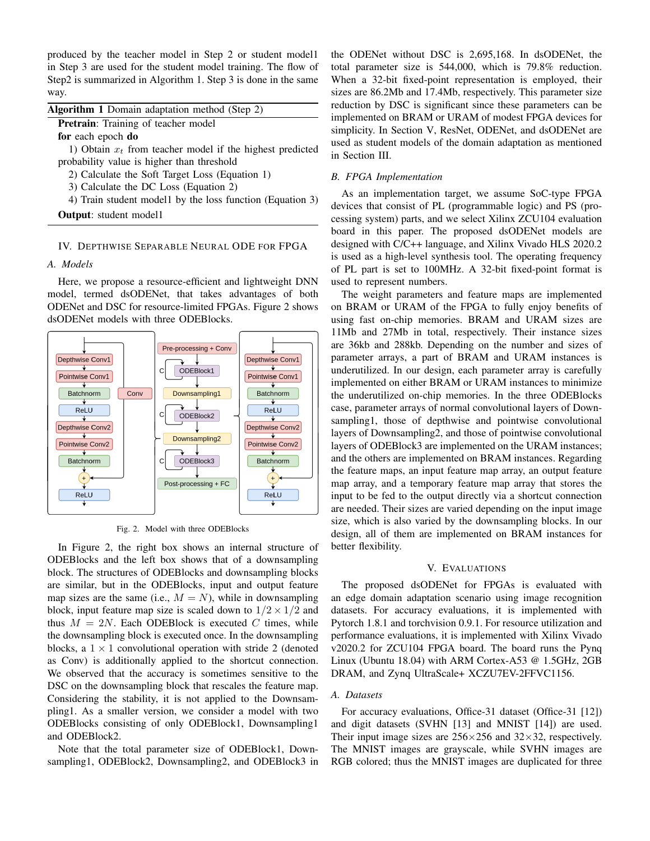produced by the teacher model in Step 2 or student model1 in Step 3 are used for the student model training. The flow of Step2 is summarized in Algorithm 1. Step 3 is done in the same way.

| <b>Algorithm 1</b> Domain adaptation method (Step 2)        |
|-------------------------------------------------------------|
| <b>Pretrain:</b> Training of teacher model                  |
| for each epoch do                                           |
| 1) Obtain $x_t$ from teacher model if the highest predicted |
| probability value is higher than threshold                  |
| 2) Calculate the Soft Target Loss (Equation 1)              |
| 3) Calculate the DC Loss (Equation 2)                       |
| 4) Train student model1 by the loss function (Equation 3)   |
|                                                             |

Output: student model1

# IV. DEPTHWISE SEPARABLE NEURAL ODE FOR FPGA

## *A. Models*

Here, we propose a resource-efficient and lightweight DNN model, termed dsODENet, that takes advantages of both ODENet and DSC for resource-limited FPGAs. Figure 2 shows dsODENet models with three ODEBlocks.



Fig. 2. Model with three ODEBlocks

In Figure 2, the right box shows an internal structure of ODEBlocks and the left box shows that of a downsampling block. The structures of ODEBlocks and downsampling blocks are similar, but in the ODEBlocks, input and output feature map sizes are the same (i.e.,  $M = N$ ), while in downsampling block, input feature map size is scaled down to  $1/2 \times 1/2$  and thus  $M = 2N$ . Each ODEBlock is executed C times, while the downsampling block is executed once. In the downsampling blocks, a  $1 \times 1$  convolutional operation with stride 2 (denoted as Conv) is additionally applied to the shortcut connection. We observed that the accuracy is sometimes sensitive to the DSC on the downsampling block that rescales the feature map. Considering the stability, it is not applied to the Downsampling1. As a smaller version, we consider a model with two ODEBlocks consisting of only ODEBlock1, Downsampling1 and ODEBlock2.

Note that the total parameter size of ODEBlock1, Downsampling1, ODEBlock2, Downsampling2, and ODEBlock3 in the ODENet without DSC is 2,695,168. In dsODENet, the total parameter size is 544,000, which is 79.8% reduction. When a 32-bit fixed-point representation is employed, their sizes are 86.2Mb and 17.4Mb, respectively. This parameter size duction by DSC is significant since these parameters can be implemented on BRAM or URAM of modest FPGA devices for implicity. In Section V, ResNet, ODENet, and dsODENet are sed as student models of the domain adaptation as mentioned Section III.

## *B. FPGA Implementation*

As an implementation target, we assume SoC-type FPGA devices that consist of PL (programmable logic) and PS (processing system) parts, and we select Xilinx ZCU104 evaluation board in this paper. The proposed dsODENet models are designed with C/C++ language, and Xilinx Vivado HLS 2020.2 is used as a high-level synthesis tool. The operating frequency of PL part is set to 100MHz. A 32-bit fixed-point format is used to represent numbers.

The weight parameters and feature maps are implemented on BRAM or URAM of the FPGA to fully enjoy benefits of using fast on-chip memories. BRAM and URAM sizes are 11Mb and 27Mb in total, respectively. Their instance sizes are 36kb and 288kb. Depending on the number and sizes of parameter arrays, a part of BRAM and URAM instances is underutilized. In our design, each parameter array is carefully implemented on either BRAM or URAM instances to minimize the underutilized on-chip memories. In the three ODEBlocks case, parameter arrays of normal convolutional layers of Downsampling1, those of depthwise and pointwise convolutional layers of Downsampling2, and those of pointwise convolutional layers of ODEBlock3 are implemented on the URAM instances; and the others are implemented on BRAM instances. Regarding the feature maps, an input feature map array, an output feature map array, and a temporary feature map array that stores the input to be fed to the output directly via a shortcut connection are needed. Their sizes are varied depending on the input image size, which is also varied by the downsampling blocks. In our design, all of them are implemented on BRAM instances for better flexibility.

#### V. EVALUATIONS

The proposed dsODENet for FPGAs is evaluated with an edge domain adaptation scenario using image recognition datasets. For accuracy evaluations, it is implemented with Pytorch 1.8.1 and torchvision 0.9.1. For resource utilization and performance evaluations, it is implemented with Xilinx Vivado v2020.2 for ZCU104 FPGA board. The board runs the Pynq Linux (Ubuntu 18.04) with ARM Cortex-A53 @ 1.5GHz, 2GB DRAM, and Zynq UltraScale+ XCZU7EV-2FFVC1156.

## *A. Datasets*

For accuracy evaluations, Office-31 dataset (Office-31 [12]) and digit datasets (SVHN [13] and MNIST [14]) are used. Their input image sizes are 256*×*256 and 32*×*32, respectively. The MNIST images are grayscale, while SVHN images are RGB colored; thus the MNIST images are duplicated for three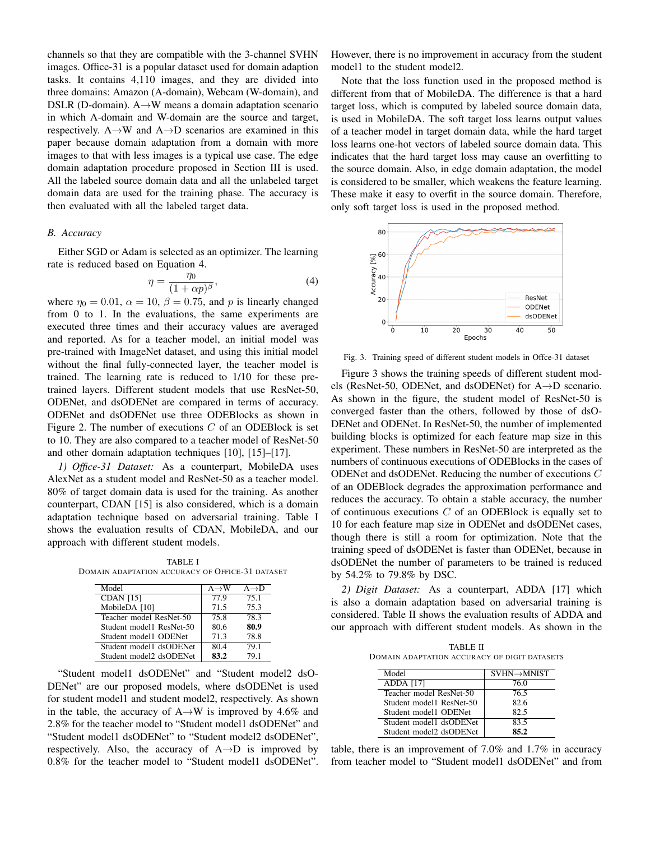channels so that they are compatible with the 3-channel SVHN images. Office-31 is a popular dataset used for domain adaption tasks. It contains 4,110 images, and they are divided into three domains: Amazon (A-domain), Webcam (W-domain), and DSLR (D-domain). A*→*W means a domain adaptation scenario in which A-domain and W-domain are the source and target, respectively. A*→*W and A*→*D scenarios are examined in this paper because domain adaptation from a domain with more images to that with less images is a typical use case. The edge domain adaptation procedure proposed in Section III is used. All the labeled source domain data and all the unlabeled target domain data are used for the training phase. The accuracy is then evaluated with all the labeled target data.

# *B. Accuracy*

Either SGD or Adam is selected as an optimizer. The learning rate is reduced based on Equation 4.

$$
\eta = \frac{\eta_0}{(1 + \alpha p)^\beta},\tag{4}
$$

where  $\eta_0 = 0.01$ ,  $\alpha = 10$ ,  $\beta = 0.75$ , and p is linearly changed from 0 to 1. In the evaluations, the same experiments are executed three times and their accuracy values are averaged and reported. As for a teacher model, an initial model was pre-trained with ImageNet dataset, and using this initial model without the final fully-connected layer, the teacher model is trained. The learning rate is reduced to 1/10 for these pretrained layers. Different student models that use ResNet-50, ODENet, and dsODENet are compared in terms of accuracy. ODENet and dsODENet use three ODEBlocks as shown in Figure 2. The number of executions *C* of an ODEBlock is set to 10. They are also compared to a teacher model of ResNet-50 and other domain adaptation techniques [10], [15]–[17].

*1) Office-31 Dataset:* As a counterpart, MobileDA uses AlexNet as a student model and ResNet-50 as a teacher model. 80% of target domain data is used for the training. As another counterpart, CDAN [15] is also considered, which is a domain adaptation technique based on adversarial training. Table I shows the evaluation results of CDAN, MobileDA, and our approach with different student models.

TABLE I DOMAIN ADAPTATION ACCURACY OF OFFICE-31 DATASET

| Model                    | $A \rightarrow W$ | $A \rightarrow D$ |
|--------------------------|-------------------|-------------------|
| <b>CDAN</b> [15]         | 77.9              | 75.1              |
| MobileDA [10]            | 71.5              | 75.3              |
| Teacher model ResNet-50  | 75.8              | 78.3              |
| Student model1 ResNet-50 | 80.6              | 80.9              |
| Student model1 ODENet    | 71.3              | 78.8              |
| Student model1 dsODENet  | 80.4              | 79.1              |
| Student model2 dsODENet  | 83.2              | 79.1              |

"Student model1 dsODENet" and "Student model2 dsO-DENet" are our proposed models, where dsODENet is used for student model1 and student model2, respectively. As shown in the table, the accuracy of A*→*W is improved by 4.6% and 2.8% for the teacher model to "Student model1 dsODENet" and "Student model1 dsODENet" to "Student model2 dsODENet", respectively. Also, the accuracy of A*→*D is improved by 0.8% for the teacher model to "Student model1 dsODENet".

However, there is no improvement in accuracy from the student model1 to the student model2.

Note that the loss function used in the proposed method is different from that of MobileDA. The difference is that a hard target loss, which is computed by labeled source domain data, is used in MobileDA. The soft target loss learns output values of a teacher model in target domain data, while the hard target loss learns one-hot vectors of labeled source domain data. This indicates that the hard target loss may cause an overfitting to the source domain. Also, in edge domain adaptation, the model is considered to be smaller, which weakens the feature learning. These make it easy to overfit in the source domain. Therefore, only soft target loss is used in the proposed method.



Fig. 3. Training speed of different student models in Offce-31 dataset

Figure 3 shows the training speeds of different student models (ResNet-50, ODENet, and dsODENet) for A*→*D scenario. As shown in the figure, the student model of ResNet-50 is converged faster than the others, followed by those of dsO-DENet and ODENet. In ResNet-50, the number of implemented building blocks is optimized for each feature map size in this experiment. These numbers in ResNet-50 are interpreted as the numbers of continuous executions of ODEBlocks in the cases of ODENet and dsODENet. Reducing the number of executions *C* of an ODEBlock degrades the approximation performance and reduces the accuracy. To obtain a stable accuracy, the number of continuous executions *C* of an ODEBlock is equally set to 10 for each feature map size in ODENet and dsODENet cases, though there is still a room for optimization. Note that the training speed of dsODENet is faster than ODENet, because in dsODENet the number of parameters to be trained is reduced by 54.2% to 79.8% by DSC.

*2) Digit Dataset:* As a counterpart, ADDA [17] which is also a domain adaptation based on adversarial training is considered. Table II shows the evaluation results of ADDA and our approach with different student models. As shown in the

TABLE II DOMAIN ADAPTATION ACCURACY OF DIGIT DATASETS

| Model                    | $SVHN \rightarrow MNIST$ |
|--------------------------|--------------------------|
| <b>ADDA</b> [17]         | 76 O                     |
| Teacher model ResNet-50  | 76.5                     |
| Student model1 ResNet-50 | 82.6                     |
| Student model1 ODENet    | 82.5                     |
| Student model1 dsODENet  | 83.5                     |
| Student model2 dsODENet  | 85.2                     |

table, there is an improvement of 7.0% and 1.7% in accuracy from teacher model to "Student model1 dsODENet" and from